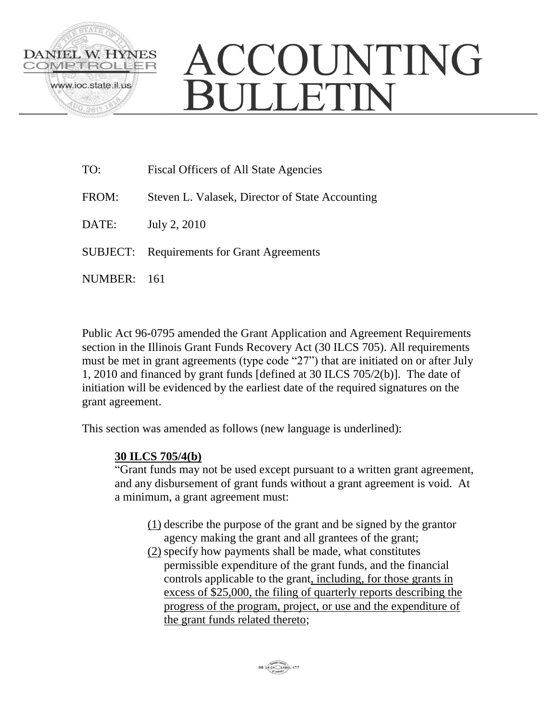

## ACCOUNTING **BULLETIN**

TO: Fiscal Officers of All State Agencies FROM: Steven L. Valasek, Director of State Accounting DATE: July 2, 2010 SUBJECT: Requirements for Grant Agreements

NUMBER: 161

Public Act 96-0795 amended the Grant Application and Agreement Requirements section in the Illinois Grant Funds Recovery Act (30 ILCS 705). All requirements must be met in grant agreements (type code "27") that are initiated on or after July 1, 2010 and financed by grant funds [defined at 30 ILCS 705/2(b)]. The date of initiation will be evidenced by the earliest date of the required signatures on the grant agreement.

This section was amended as follows (new language is underlined):

## **30 ILCS 705/4(b)**

"Grant funds may not be used except pursuant to a written grant agreement, and any disbursement of grant funds without a grant agreement is void. At a minimum, a grant agreement must:

- (1) describe the purpose of the grant and be signed by the grantor agency making the grant and all grantees of the grant;
- (2) specify how payments shall be made, what constitutes permissible expenditure of the grant funds, and the financial controls applicable to the grant, including, for those grants in excess of \$25,000, the filing of quarterly reports describing the progress of the program, project, or use and the expenditure of the grant funds related thereto;